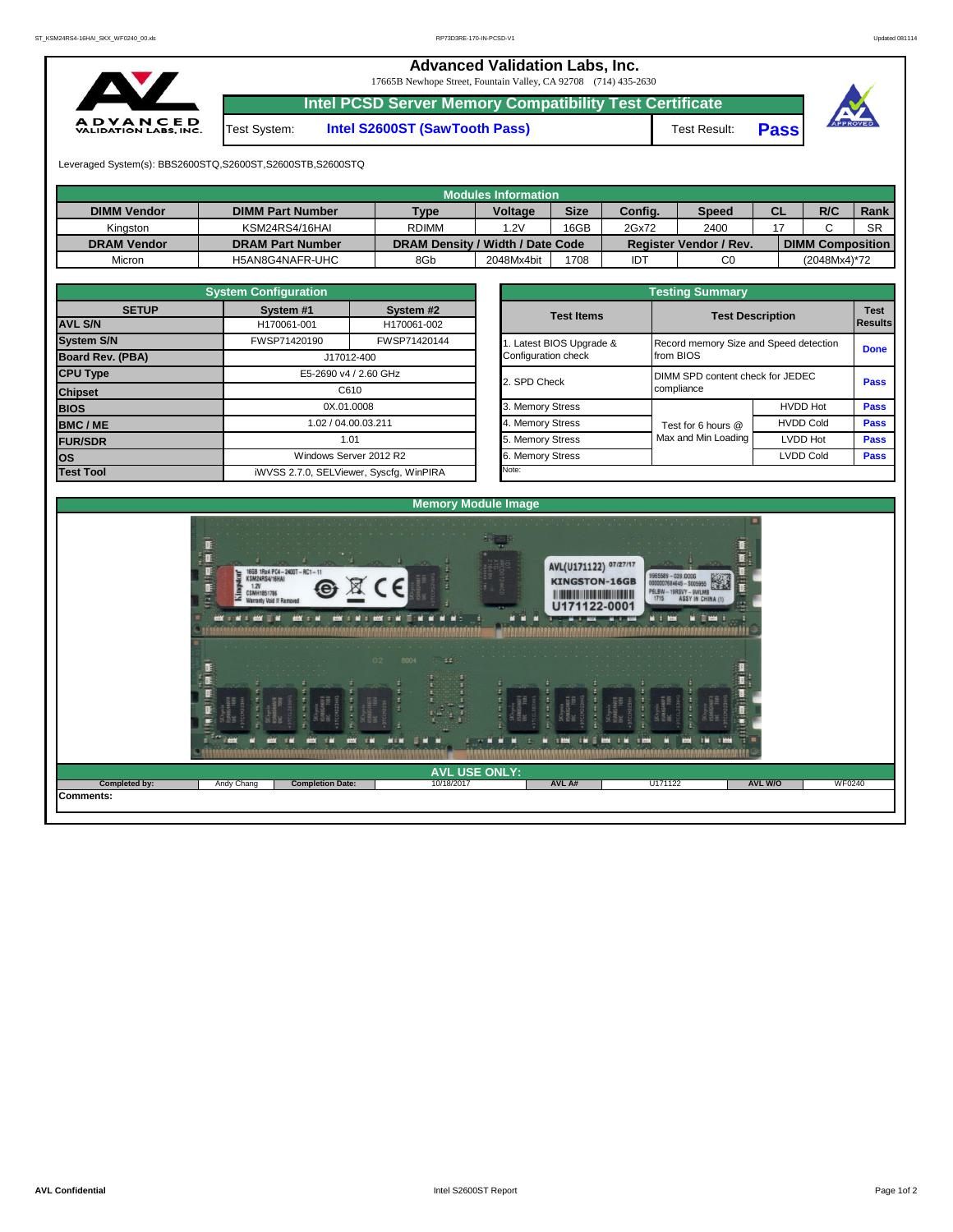## **Advanced Validation Labs, Inc.**  17665B Newhope Street, Fountain Valley, CA 92708 (714) 435-2630 **Intel PCSD Server Memory Compatibility Test Certificate A D V A N C E D**<br>VALIDATION LABS, INC. Test System: **Intel S2600ST (SawTooth Pass)** Test Result: **Pass**





Leveraged System(s): BBS2600STQ,S2600ST,S2600STB,S2600STQ

|                    |                         |                                  | <b>Modules Information</b> |             |         |                               |           |                         |           |
|--------------------|-------------------------|----------------------------------|----------------------------|-------------|---------|-------------------------------|-----------|-------------------------|-----------|
| <b>DIMM Vendor</b> | <b>DIMM Part Number</b> | <b>Type</b>                      | <b>Voltage</b>             | <b>Size</b> | Config. | <b>Speed</b>                  | <b>CL</b> | R/C                     | Rank      |
| Kingston           | KSM24RS4/16HAI          | <b>RDIMM</b>                     | 1.2V                       | 16GB        | 2Gx72   | 2400                          |           |                         | <b>SR</b> |
| <b>DRAM Vendor</b> | <b>DRAM Part Number</b> | DRAM Density / Width / Date Code |                            |             |         | <b>Register Vendor / Rev.</b> |           | <b>DIMM Composition</b> |           |
| Micron             | H5AN8G4NAFR-UHC         | 8Gb                              | 2048Mx4bit                 | 1708        | IDT     | C0                            |           | (2048Mx4)*72            |           |

|                         | <b>System Configuration</b> |                                         | <b>Testing Summary</b> |                                        |                         |             |  |  |  |  |  |  |  |
|-------------------------|-----------------------------|-----------------------------------------|------------------------|----------------------------------------|-------------------------|-------------|--|--|--|--|--|--|--|
| <b>SETUP</b>            | System #1                   | System #2                               | <b>Test Items</b>      |                                        |                         | <b>Test</b> |  |  |  |  |  |  |  |
| <b>AVL S/N</b>          | H170061-001                 | H170061-002                             |                        |                                        | <b>Test Description</b> |             |  |  |  |  |  |  |  |
| <b>System S/N</b>       | FWSP71420190                | FWSP71420144                            | Latest BIOS Upgrade &  | Record memory Size and Speed detection |                         |             |  |  |  |  |  |  |  |
| <b>Board Rev. (PBA)</b> |                             | J17012-400                              | Configuration check    | from BIOS                              |                         | <b>Done</b> |  |  |  |  |  |  |  |
| <b>CPU Type</b>         | E5-2690 v4 / 2.60 GHz       |                                         | 2. SPD Check           | DIMM SPD content check for JEDEC       |                         |             |  |  |  |  |  |  |  |
| <b>Chipset</b>          |                             | C610                                    |                        | compliance                             |                         | <b>Pass</b> |  |  |  |  |  |  |  |
| <b>BIOS</b>             |                             | 0X.01.0008                              | 3. Memory Stress       |                                        | <b>HVDD Hot</b>         | <b>Pass</b> |  |  |  |  |  |  |  |
| <b>BMC/ME</b>           | 1.02 / 04.00.03.211<br>1.01 |                                         | 4. Memory Stress       | Test for 6 hours @                     | <b>HVDD Cold</b>        | <b>Pass</b> |  |  |  |  |  |  |  |
| <b>FUR/SDR</b>          |                             |                                         | 5. Memory Stress       | Max and Min Loading                    | LVDD Hot                | <b>Pass</b> |  |  |  |  |  |  |  |
| los                     |                             | Windows Server 2012 R2                  | 6. Memory Stress       |                                        | <b>LVDD Cold</b>        | <b>Pass</b> |  |  |  |  |  |  |  |
| <b>Test Tool</b>        |                             | iWVSS 2.7.0, SELViewer, Syscfq, WinPIRA | Note:                  |                                        |                         |             |  |  |  |  |  |  |  |

| lest Items                                      |                                                     | <b>Test Description</b> | <b>Results</b> |  |  |
|-------------------------------------------------|-----------------------------------------------------|-------------------------|----------------|--|--|
| 1. Latest BIOS Upgrade &<br>Configuration check | Record memory Size and Speed detection<br>from BIOS |                         | <b>Done</b>    |  |  |
| 2. SPD Check                                    | DIMM SPD content check for JEDEC<br>compliance      |                         | <b>Pass</b>    |  |  |
| 3. Memory Stress                                |                                                     | <b>HVDD Hot</b>         | Pass           |  |  |
| 4. Memory Stress                                | Test for 6 hours @                                  | <b>HVDD Cold</b>        | <b>Pass</b>    |  |  |
| 5. Memory Stress                                | Max and Min Loading                                 | LVDD Hot                | Pass           |  |  |
| 6. Memory Stress                                |                                                     | <b>LVDD Cold</b>        | Pass           |  |  |
| Note:                                           |                                                     |                         |                |  |  |